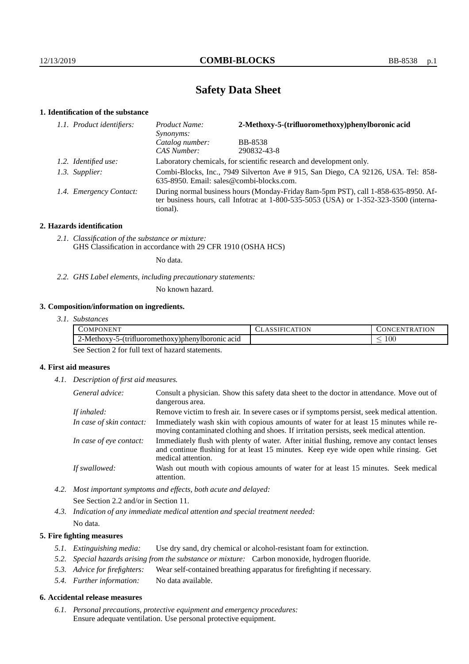# **Safety Data Sheet**

# **1. Identification of the substance**

| 1.1. Product identifiers: | 2-Methoxy-5-(trifluoromethoxy)phenylboronic acid<br>Product Name:<br>Synonyms:                                                                                                              |                |  |
|---------------------------|---------------------------------------------------------------------------------------------------------------------------------------------------------------------------------------------|----------------|--|
|                           | Catalog number:                                                                                                                                                                             | <b>BB-8538</b> |  |
|                           | CAS Number:                                                                                                                                                                                 | 290832-43-8    |  |
| 1.2. Identified use:      | Laboratory chemicals, for scientific research and development only.                                                                                                                         |                |  |
| 1.3. Supplier:            | Combi-Blocks, Inc., 7949 Silverton Ave #915, San Diego, CA 92126, USA. Tel: 858-<br>635-8950. Email: sales@combi-blocks.com.                                                                |                |  |
| 1.4. Emergency Contact:   | During normal business hours (Monday-Friday 8am-5pm PST), call 1-858-635-8950. Af-<br>ter business hours, call Infotrac at $1-800-535-5053$ (USA) or $1-352-323-3500$ (interna-<br>tional). |                |  |

# **2. Hazards identification**

*2.1. Classification of the substance or mixture:* GHS Classification in accordance with 29 CFR 1910 (OSHA HCS)

No data.

*2.2. GHS Label elements, including precautionary statements:*

No known hazard.

# **3. Composition/information on ingredients.**

*3.1. Substances*

| <b>ATTATT</b><br>COMPONEN"                                     | −ъ. | ΩN<br>…EM<br>TRAT<br>$\overline{\mathbf{v}}$ |
|----------------------------------------------------------------|-----|----------------------------------------------|
| $2$ -Methoxy- $\sim$<br>5-ttrifluoromethoxy)phenylboronic acid |     | $100\,$<br>_                                 |

See Section 2 for full text of hazard statements.

# **4. First aid measures**

*4.1. Description of first aid measures.*

| General advice:          | Consult a physician. Show this safety data sheet to the doctor in attendance. Move out of<br>dangerous area.                                                                                            |  |
|--------------------------|---------------------------------------------------------------------------------------------------------------------------------------------------------------------------------------------------------|--|
| If inhaled:              | Remove victim to fresh air. In severe cases or if symptoms persist, seek medical attention.                                                                                                             |  |
| In case of skin contact: | Immediately wash skin with copious amounts of water for at least 15 minutes while re-<br>moving contaminated clothing and shoes. If irritation persists, seek medical attention.                        |  |
| In case of eye contact:  | Immediately flush with plenty of water. After initial flushing, remove any contact lenses<br>and continue flushing for at least 15 minutes. Keep eye wide open while rinsing. Get<br>medical attention. |  |
| If swallowed:            | Wash out mouth with copious amounts of water for at least 15 minutes. Seek medical<br>attention.                                                                                                        |  |

*4.2. Most important symptoms and effects, both acute and delayed:* See Section 2.2 and/or in Section 11.

*4.3. Indication of any immediate medical attention and special treatment needed:* No data.

# **5. Fire fighting measures**

- *5.1. Extinguishing media:* Use dry sand, dry chemical or alcohol-resistant foam for extinction.
- *5.2. Special hazards arising from the substance or mixture:* Carbon monoxide, hydrogen fluoride.
- *5.3. Advice for firefighters:* Wear self-contained breathing apparatus for firefighting if necessary.
- *5.4. Further information:* No data available.

## **6. Accidental release measures**

*6.1. Personal precautions, protective equipment and emergency procedures:* Ensure adequate ventilation. Use personal protective equipment.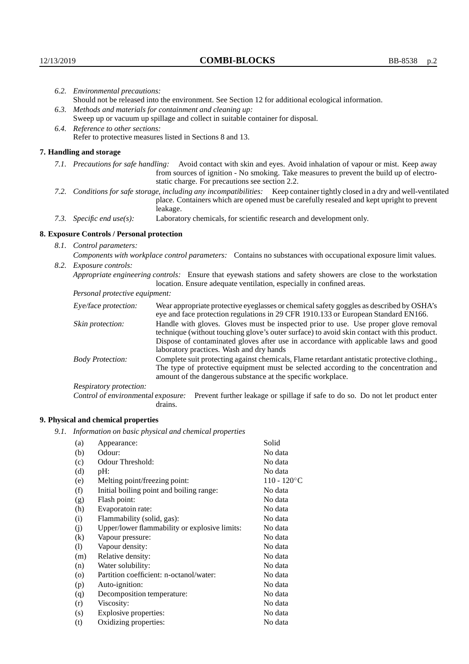|                          | 6.2. Environmental precautions:                                                                                                                                                                                                                                    |                                                                                                                                                                                                                                                                                                                        |  |  |
|--------------------------|--------------------------------------------------------------------------------------------------------------------------------------------------------------------------------------------------------------------------------------------------------------------|------------------------------------------------------------------------------------------------------------------------------------------------------------------------------------------------------------------------------------------------------------------------------------------------------------------------|--|--|
|                          | Should not be released into the environment. See Section 12 for additional ecological information.                                                                                                                                                                 |                                                                                                                                                                                                                                                                                                                        |  |  |
|                          | 6.3. Methods and materials for containment and cleaning up:                                                                                                                                                                                                        |                                                                                                                                                                                                                                                                                                                        |  |  |
|                          | Sweep up or vacuum up spillage and collect in suitable container for disposal.                                                                                                                                                                                     |                                                                                                                                                                                                                                                                                                                        |  |  |
|                          | 6.4. Reference to other sections:                                                                                                                                                                                                                                  |                                                                                                                                                                                                                                                                                                                        |  |  |
|                          | Refer to protective measures listed in Sections 8 and 13.                                                                                                                                                                                                          |                                                                                                                                                                                                                                                                                                                        |  |  |
|                          | 7. Handling and storage                                                                                                                                                                                                                                            |                                                                                                                                                                                                                                                                                                                        |  |  |
|                          | 7.1. Precautions for safe handling: Avoid contact with skin and eyes. Avoid inhalation of vapour or mist. Keep away<br>from sources of ignition - No smoking. Take measures to prevent the build up of electro-<br>static charge. For precautions see section 2.2. |                                                                                                                                                                                                                                                                                                                        |  |  |
|                          |                                                                                                                                                                                                                                                                    | 7.2. Conditions for safe storage, including any incompatibilities: Keep container tightly closed in a dry and well-ventilated<br>place. Containers which are opened must be carefully resealed and kept upright to prevent<br>leakage.                                                                                 |  |  |
|                          | 7.3. Specific end use(s):                                                                                                                                                                                                                                          | Laboratory chemicals, for scientific research and development only.                                                                                                                                                                                                                                                    |  |  |
|                          | 8. Exposure Controls / Personal protection                                                                                                                                                                                                                         |                                                                                                                                                                                                                                                                                                                        |  |  |
| 8.1. Control parameters: |                                                                                                                                                                                                                                                                    |                                                                                                                                                                                                                                                                                                                        |  |  |
|                          | Components with workplace control parameters: Contains no substances with occupational exposure limit values.                                                                                                                                                      |                                                                                                                                                                                                                                                                                                                        |  |  |
|                          | 8.2. Exposure controls:                                                                                                                                                                                                                                            |                                                                                                                                                                                                                                                                                                                        |  |  |
|                          |                                                                                                                                                                                                                                                                    | Appropriate engineering controls: Ensure that eyewash stations and safety showers are close to the workstation<br>location. Ensure adequate ventilation, especially in confined areas.                                                                                                                                 |  |  |
|                          | Personal protective equipment:                                                                                                                                                                                                                                     |                                                                                                                                                                                                                                                                                                                        |  |  |
|                          | Eye/face protection:                                                                                                                                                                                                                                               | Wear appropriate protective eyeglasses or chemical safety goggles as described by OSHA's<br>eye and face protection regulations in 29 CFR 1910.133 or European Standard EN166.                                                                                                                                         |  |  |
|                          | Skin protection:                                                                                                                                                                                                                                                   | Handle with gloves. Gloves must be inspected prior to use. Use proper glove removal<br>technique (without touching glove's outer surface) to avoid skin contact with this product.<br>Dispose of contaminated gloves after use in accordance with applicable laws and good<br>laboratory practices. Wash and dry hands |  |  |
|                          | <b>Body Protection:</b>                                                                                                                                                                                                                                            | Complete suit protecting against chemicals, Flame retardant antistatic protective clothing.,<br>The type of protective equipment must be selected according to the concentration and<br>amount of the dangerous substance at the specific workplace.                                                                   |  |  |
|                          | Respiratory protection:                                                                                                                                                                                                                                            |                                                                                                                                                                                                                                                                                                                        |  |  |

Control of environmental exposure: Prevent further leakage or spillage if safe to do so. Do not let product enter drains.

# **9. Physical and chemical properties**

*9.1. Information on basic physical and chemical properties*

| (a)     | Appearance:                                   | Solid          |
|---------|-----------------------------------------------|----------------|
| (b)     | Odour:                                        | No data        |
| (c)     | Odour Threshold:                              | No data        |
| (d)     | $pH$ :                                        | No data        |
| (e)     | Melting point/freezing point:                 | $110 - 120$ °C |
| (f)     | Initial boiling point and boiling range:      | No data        |
| (g)     | Flash point:                                  | No data        |
| (h)     | Evaporatoin rate:                             | No data        |
| (i)     | Flammability (solid, gas):                    | No data        |
| (j)     | Upper/lower flammability or explosive limits: | No data        |
| (k)     | Vapour pressure:                              | No data        |
| (1)     | Vapour density:                               | No data        |
| (m)     | Relative density:                             | No data        |
| (n)     | Water solubility:                             | No data        |
| $\circ$ | Partition coefficient: n-octanol/water:       | No data        |
| (p)     | Auto-ignition:                                | No data        |
| (q)     | Decomposition temperature:                    | No data        |
| (r)     | Viscosity:                                    | No data        |
| (s)     | Explosive properties:                         | No data        |
| (t)     | Oxidizing properties:                         | No data        |
|         |                                               |                |